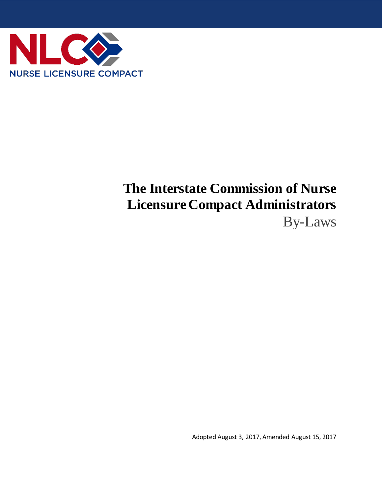

# **The Interstate Commission of Nurse Licensure Compact Administrators** By-Laws

Adopted August 3, 2017, Amended August 15, 2017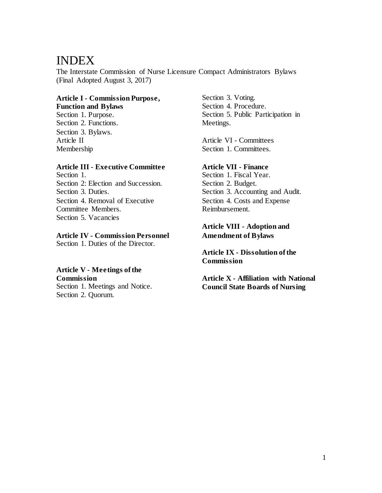# INDEX

The Interstate Commission of Nurse Licensure Compact Administrators Bylaws (Final Adopted August 3, 2017)

#### **Article I - Commission Purpose, Function and Bylaws**

Section 1. Purpose. Section 2. Functions. Section 3. Bylaws. Article II Membership

# **Article III - Executive Committee**

Section 1. Section 2: Election and Succession. Section 3. Duties. Section 4. Removal of Executive Committee Members. Section 5. Vacancies

# **Article IV - Commission Personnel**

Section 1. Duties of the Director.

# **Article V - Meetings of the**

**Commission**

Section 1. Meetings and Notice. Section 2. Quorum.

Section 3. Voting. Section 4. Procedure. Section 5. Public Participation in Meetings.

Article VI - Committees Section 1. Committees.

# **Article VII - Finance**

Section 1. Fiscal Year. Section 2. Budget. Section 3. Accounting and Audit. Section 4. Costs and Expense Reimbursement.

# **Article VIII - Adoption and Amendment of Bylaws**

**Article IX - Dissolution of the Commission**

**Article X - Affiliation with National Council State Boards of Nursing**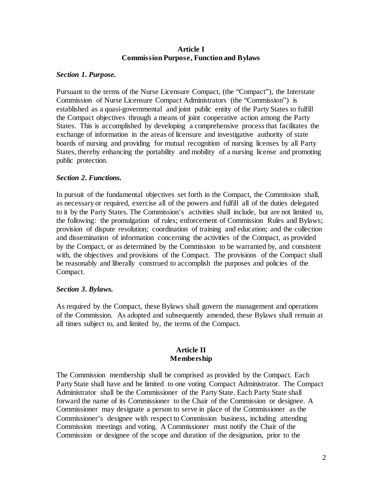#### **Article I Commission Purpose, Function and Bylaws**

#### *Section 1. Purpose.*

Pursuant to the terms of the Nurse Licensure Compact, (the "Compact"), the Interstate Commission of Nurse Licensure Compact Administrators (the "Commission") is established as a quasi-governmental and joint public entity of the Party States to fulfill the Compact objectives through a means of joint cooperative action among the Party States. This is accomplished by developing a comprehensive process that facilitates the exchange of information in the areas of licensure and investigative authority of state boards of nursing and providing for mutual recognition of nursing licenses by all Party States, thereby enhancing the portability and mobility of a nursing license and promoting public protection.

#### *Section 2. Functions.*

In pursuit of the fundamental objectives set forth in the Compact, the Commission shall, as necessary or required, exercise all of the powers and fulfill all of the duties delegated to it by the Party States. The Commission's activities shall include, but are not limited to, the following: the promulgation of rules; enforcement of Commission Rules and Bylaws; provision of dispute resolution; coordination of training and education; and the collection and dissemination of information concerning the activities of the Compact, as provided by the Compact, or as determined by the Commission to be warranted by, and consistent with, the objectives and provisions of the Compact. The provisions of the Compact shall be reasonably and liberally construed to accomplish the purposes and policies of the Compact.

#### *Section 3. Bylaws.*

As required by the Compact, these Bylaws shall govern the management and operations of the Commission. As adopted and subsequently amended, these Bylaws shall remain at all times subject to, and limited by, the terms of the Compact.

#### **Article II Membership**

The Commission membership shall be comprised as provided by the Compact. Each Party State shall have and be limited to one voting Compact Administrator. The Compact Administrator shall be the Commissioner of the Party State. Each Party State shall forward the name of its Commissioner to the Chair of the Commission or designee. A Commissioner may designate a person to serve in place of the Commissioner as the Commissioner's designee with respect to Commission business, including attending Commission meetings and voting. A Commissioner must notify the Chair of the Commission or designee of the scope and duration of the designation, prior to the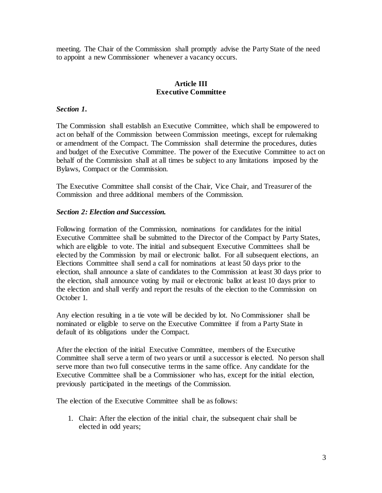meeting. The Chair of the Commission shall promptly advise the Party State of the need to appoint a new Commissioner whenever a vacancy occurs.

# **Article III Executive Committee**

#### *Section 1.*

The Commission shall establish an Executive Committee, which shall be empowered to act on behalf of the Commission between Commission meetings, except for rulemaking or amendment of the Compact. The Commission shall determine the procedures, duties and budget of the Executive Committee. The power of the Executive Committee to act on behalf of the Commission shall at all times be subject to any limitations imposed by the Bylaws, Compact or the Commission.

The Executive Committee shall consist of the Chair, Vice Chair, and Treasurer of the Commission and three additional members of the Commission.

#### *Section 2: Election and Succession.*

Following formation of the Commission, nominations for candidates for the initial Executive Committee shall be submitted to the Director of the Compact by Party States, which are eligible to vote. The initial and subsequent Executive Committees shall be elected by the Commission by mail or electronic ballot. For all subsequent elections, an Elections Committee shall send a call for nominations at least 50 days prior to the election, shall announce a slate of candidates to the Commission at least 30 days prior to the election, shall announce voting by mail or electronic ballot at least 10 days prior to the election and shall verify and report the results of the election to the Commission on October 1.

Any election resulting in a tie vote will be decided by lot. No Commissioner shall be nominated or eligible to serve on the Executive Committee if from a Party State in default of its obligations under the Compact.

After the election of the initial Executive Committee, members of the Executive Committee shall serve a term of two years or until a successor is elected. No person shall serve more than two full consecutive terms in the same office. Any candidate for the Executive Committee shall be a Commissioner who has, except for the initial election, previously participated in the meetings of the Commission.

The election of the Executive Committee shall be as follows:

1. Chair: After the election of the initial chair, the subsequent chair shall be elected in odd years;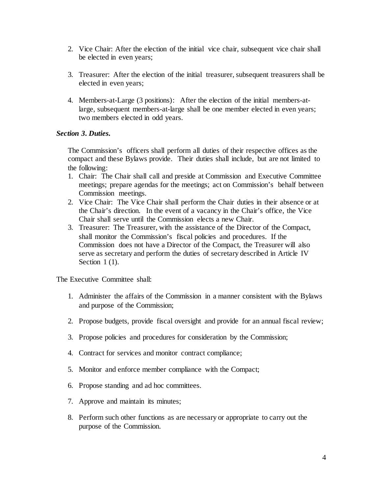- 2. Vice Chair: After the election of the initial vice chair, subsequent vice chair shall be elected in even years;
- 3. Treasurer: After the election of the initial treasurer, subsequent treasurers shall be elected in even years;
- 4. Members-at-Large (3 positions): After the election of the initial members-atlarge, subsequent members-at-large shall be one member elected in even years; two members elected in odd years.

# *Section 3. Duties.*

The Commission's officers shall perform all duties of their respective offices as the compact and these Bylaws provide. Their duties shall include, but are not limited to the following:

- 1. Chair: The Chair shall call and preside at Commission and Executive Committee meetings; prepare agendas for the meetings; act on Commission's behalf between Commission meetings.
- 2. Vice Chair: The Vice Chair shall perform the Chair duties in their absence or at the Chair's direction. In the event of a vacancy in the Chair's office, the Vice Chair shall serve until the Commission elects a new Chair.
- 3. Treasurer: The Treasurer, with the assistance of the Director of the Compact, shall monitor the Commission's fiscal policies and procedures. If the Commission does not have a Director of the Compact, the Treasurer will also serve as secretary and perform the duties of secretary described in Article IV Section 1(1).

The Executive Committee shall:

- 1. Administer the affairs of the Commission in a manner consistent with the Bylaws and purpose of the Commission;
- 2. Propose budgets, provide fiscal oversight and provide for an annual fiscal review;
- 3. Propose policies and procedures for consideration by the Commission;
- 4. Contract for services and monitor contract compliance;
- 5. Monitor and enforce member compliance with the Compact;
- 6. Propose standing and ad hoc committees.
- 7. Approve and maintain its minutes;
- 8. Perform such other functions as are necessary or appropriate to carry out the purpose of the Commission.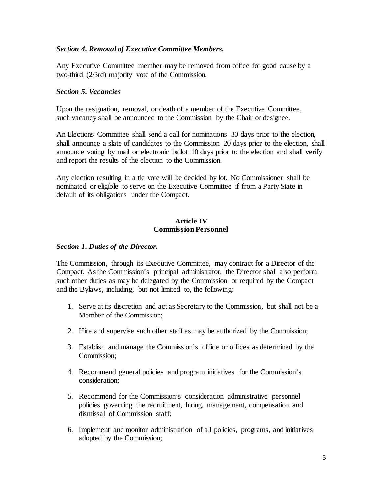#### *Section 4. Removal of Executive Committee Members.*

Any Executive Committee member may be removed from office for good cause by a two-third (2/3rd) majority vote of the Commission.

#### *Section 5. Vacancies*

Upon the resignation, removal, or death of a member of the Executive Committee, such vacancy shall be announced to the Commission by the Chair or designee.

An Elections Committee shall send a call for nominations 30 days prior to the election, shall announce a slate of candidates to the Commission 20 days prior to the election, shall announce voting by mail or electronic ballot 10 days prior to the election and shall verify and report the results of the election to the Commission.

Any election resulting in a tie vote will be decided by lot. No Commissioner shall be nominated or eligible to serve on the Executive Committee if from a Party State in default of its obligations under the Compact.

#### **Article IV Commission Personnel**

#### *Section 1. Duties of the Director.*

The Commission, through its Executive Committee, may contract for a Director of the Compact. As the Commission's principal administrator, the Director shall also perform such other duties as may be delegated by the Commission or required by the Compact and the Bylaws, including, but not limited to, the following:

- 1. Serve at its discretion and act as Secretary to the Commission, but shall not be a Member of the Commission;
- 2. Hire and supervise such other staff as may be authorized by the Commission;
- 3. Establish and manage the Commission's office or offices as determined by the Commission;
- 4. Recommend general policies and program initiatives for the Commission's consideration;
- 5. Recommend for the Commission's consideration administrative personnel policies governing the recruitment, hiring, management, compensation and dismissal of Commission staff;
- 6. Implement and monitor administration of all policies, programs, and initiatives adopted by the Commission;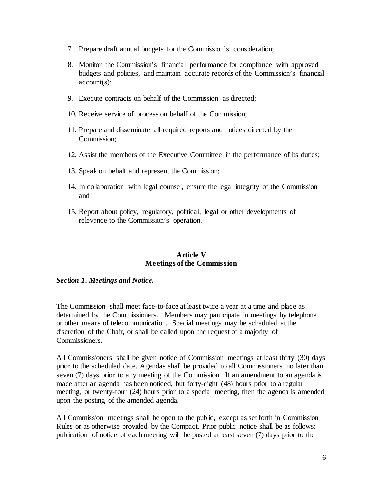- 7. Prepare draft annual budgets for the Commission's consideration;
- 8. Monitor the Commission's financial performance for compliance with approved budgets and policies, and maintain accurate records of the Commission's financial account(s);
- 9. Execute contracts on behalf of the Commission as directed;
- 10. Receive service of process on behalf of the Commission;
- 11. Prepare and disseminate all required reports and notices directed by the Commission;
- 12. Assist the members of the Executive Committee in the performance of its duties;
- 13. Speak on behalf and represent the Commission;
- 14. In collaboration with legal counsel, ensure the legal integrity of the Commission and
- 15. Report about policy, regulatory, political, legal or other developments of relevance to the Commission's operation.

# **Article V Meetings of the Commission**

#### *Section 1. Meetings and Notice.*

The Commission shall meet face-to-face at least twice a year at a time and place as determined by the Commissioners. Members may participate in meetings by telephone or other means of telecommunication. Special meetings may be scheduled at the discretion of the Chair, or shall be called upon the request of a majority of Commissioners.

All Commissioners shall be given notice of Commission meetings at least thirty (30) days prior to the scheduled date. Agendas shall be provided to all Commissioners no later than seven (7) days prior to any meeting of the Commission. If an amendment to an agenda is made after an agenda has been noticed, but forty-eight (48) hours prior to a regular meeting, or twenty-four (24) hours prior to a special meeting, then the agenda is amended upon the posting of the amended agenda.

All Commission meetings shall be open to the public, except as set forth in Commission Rules or as otherwise provided by the Compact. Prior public notice shall be as follows: publication of notice of each meeting will be posted at least seven (7) days prior to the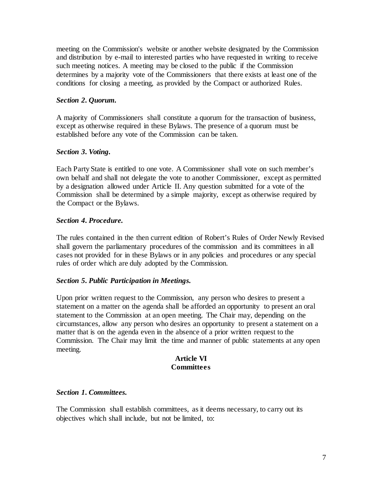meeting on the Commission's website or another website designated by the Commission and distribution by e-mail to interested parties who have requested in writing to receive such meeting notices. A meeting may be closed to the public if the Commission determines by a majority vote of the Commissioners that there exists at least one of the conditions for closing a meeting, as provided by the Compact or authorized Rules.

# *Section 2. Quorum.*

A majority of Commissioners shall constitute a quorum for the transaction of business, except as otherwise required in these Bylaws. The presence of a quorum must be established before any vote of the Commission can be taken.

# *Section 3. Voting.*

Each Party State is entitled to one vote. A Commissioner shall vote on such member's own behalf and shall not delegate the vote to another Commissioner, except as permitted by a designation allowed under Article II. Any question submitted for a vote of the Commission shall be determined by a simple majority, except as otherwise required by the Compact or the Bylaws.

#### *Section 4. Procedure.*

The rules contained in the then current edition of Robert's Rules of Order Newly Revised shall govern the parliamentary procedures of the commission and its committees in all cases not provided for in these Bylaws or in any policies and procedures or any special rules of order which are duly adopted by the Commission.

#### *Section 5. Public Participation in Meetings.*

Upon prior written request to the Commission, any person who desires to present a statement on a matter on the agenda shall be afforded an opportunity to present an oral statement to the Commission at an open meeting. The Chair may, depending on the circumstances, allow any person who desires an opportunity to present a statement on a matter that is on the agenda even in the absence of a prior written request to the Commission. The Chair may limit the time and manner of public statements at any open meeting.

#### **Article VI Committees**

#### *Section 1. Committees.*

The Commission shall establish committees, as it deems necessary, to carry out its objectives which shall include, but not be limited, to: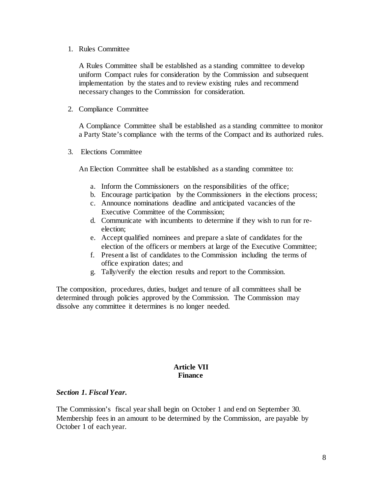#### 1. Rules Committee

A Rules Committee shall be established as a standing committee to develop uniform Compact rules for consideration by the Commission and subsequent implementation by the states and to review existing rules and recommend necessary changes to the Commission for consideration.

2. Compliance Committee

A Compliance Committee shall be established as a standing committee to monitor a Party State's compliance with the terms of the Compact and its authorized rules.

3. Elections Committee

An Election Committee shall be established as a standing committee to:

- a. Inform the Commissioners on the responsibilities of the office;
- b. Encourage participation by the Commissioners in the elections process;
- c. Announce nominations deadline and anticipated vacancies of the Executive Committee of the Commission;
- d. Communicate with incumbents to determine if they wish to run for reelection;
- e. Accept qualified nominees and prepare a slate of candidates for the election of the officers or members at large of the Executive Committee;
- f. Present a list of candidates to the Commission including the terms of office expiration dates; and
- g. Tally/verify the election results and report to the Commission.

The composition, procedures, duties, budget and tenure of all committees shall be determined through policies approved by the Commission. The Commission may dissolve any committee it determines is no longer needed.

# **Article VII Finance**

#### *Section 1. Fiscal Year.*

The Commission's fiscal year shall begin on October 1 and end on September 30. Membership fees in an amount to be determined by the Commission, are payable by October 1 of each year.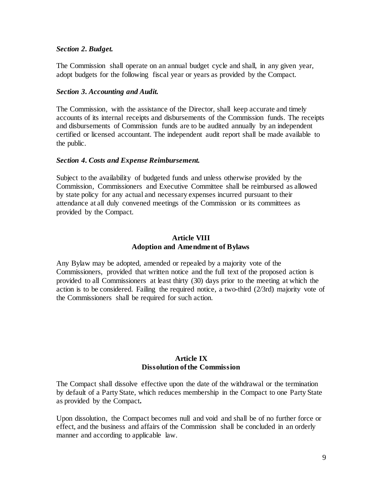#### *Section 2. Budget.*

The Commission shall operate on an annual budget cycle and shall, in any given year, adopt budgets for the following fiscal year or years as provided by the Compact.

#### *Section 3. Accounting and Audit.*

The Commission, with the assistance of the Director, shall keep accurate and timely accounts of its internal receipts and disbursements of the Commission funds. The receipts and disbursements of Commission funds are to be audited annually by an independent certified or licensed accountant. The independent audit report shall be made available to the public.

#### *Section 4. Costs and Expense Reimbursement.*

Subject to the availability of budgeted funds and unless otherwise provided by the Commission, Commissioners and Executive Committee shall be reimbursed as allowed by state policy for any actual and necessary expenses incurred pursuant to their attendance at all duly convened meetings of the Commission or its committees as provided by the Compact.

#### **Article VIII Adoption and Amendment of Bylaws**

Any Bylaw may be adopted, amended or repealed by a majority vote of the Commissioners, provided that written notice and the full text of the proposed action is provided to all Commissioners at least thirty (30) days prior to the meeting at which the action is to be considered. Failing the required notice, a two-third (2/3rd) majority vote of the Commissioners shall be required for such action.

# **Article IX Dissolution of the Commission**

The Compact shall dissolve effective upon the date of the withdrawal or the termination by default of a Party State, which reduces membership in the Compact to one Party State as provided by the Compact**.**

Upon dissolution, the Compact becomes null and void and shall be of no further force or effect, and the business and affairs of the Commission shall be concluded in an orderly manner and according to applicable law.